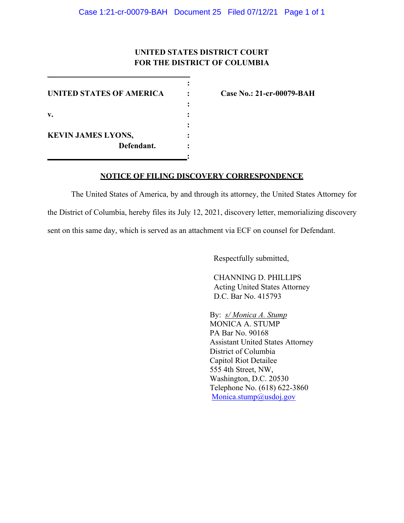# **UNITED STATES DISTRICT COURT FOR THE DISTRICT OF COLUMBIA**

**:**

**:**

**:** 

**:**

**UNITED STATES OF AMERICA : Case No.: 21-cr-00079-BAH v. : KEVIN JAMES LYONS, : Defendant. :**

## **NOTICE OF FILING DISCOVERY CORRESPONDENCE**

The United States of America, by and through its attorney, the United States Attorney for the District of Columbia, hereby files its July 12, 2021, discovery letter, memorializing discovery sent on this same day, which is served as an attachment via ECF on counsel for Defendant.

Respectfully submitted,

CHANNING D. PHILLIPS Acting United States Attorney D.C. Bar No. 415793

By: *s/ Monica A. Stump* MONICA A. STUMP PA Bar No. 90168 Assistant United States Attorney District of Columbia Capitol Riot Detailee 555 4th Street, NW, Washington, D.C. 20530 Telephone No. (618) 622-3860 Monica.stump@usdoj.gov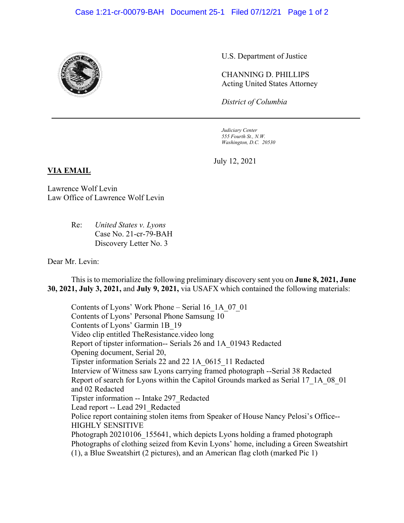### Case 1:21-cr-00079-BAH Document 25-1 Filed 07/12/21 Page 1 of 2



U.S. Department of Justice

CHANNING D. PHILLIPS Acting United States Attorney

*District of Columbia*

*Judiciary Center 555 Fourth St., N.W. Washington, D.C. 20530*

July 12, 2021

#### **VIA EMAIL**

Lawrence Wolf Levin Law Office of Lawrence Wolf Levin

> Re: *United States v. Lyons* Case No. 21-cr-79-BAH Discovery Letter No. 3

Dear Mr. Levin:

This is to memorialize the following preliminary discovery sent you on **June 8, 2021, June 30, 2021, July 3, 2021,** and **July 9, 2021,** via USAFX which contained the following materials:

Contents of Lyons' Work Phone – Serial 16\_1A\_07\_01 Contents of Lyons' Personal Phone Samsung 10 Contents of Lyons' Garmin 1B\_19 Video clip entitled TheResistance.video long Report of tipster information-- Serials 26 and 1A\_01943 Redacted Opening document, Serial 20, Tipster information Serials 22 and 22 1A\_0615\_11 Redacted Interview of Witness saw Lyons carrying framed photograph --Serial 38 Redacted Report of search for Lyons within the Capitol Grounds marked as Serial 17\_1A\_08\_01 and 02 Redacted Tipster information -- Intake 297\_Redacted Lead report -- Lead 291\_Redacted Police report containing stolen items from Speaker of House Nancy Pelosi's Office-- HIGHLY SENSITIVE Photograph 20210106 155641, which depicts Lyons holding a framed photograph Photographs of clothing seized from Kevin Lyons' home, including a Green Sweatshirt (1), a Blue Sweatshirt (2 pictures), and an American flag cloth (marked Pic 1)